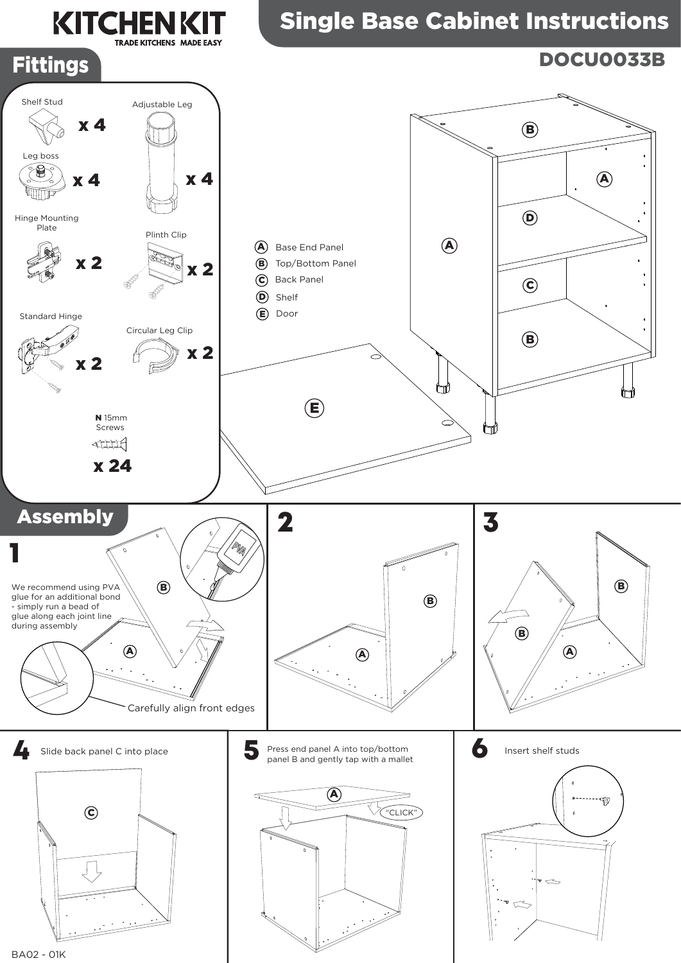## Single Base Cabinet Instructions









**KITCHENKIT** 

**TRADE KITCHENS MADE EASY** 



BA02 - 01K



## DOCU0033B